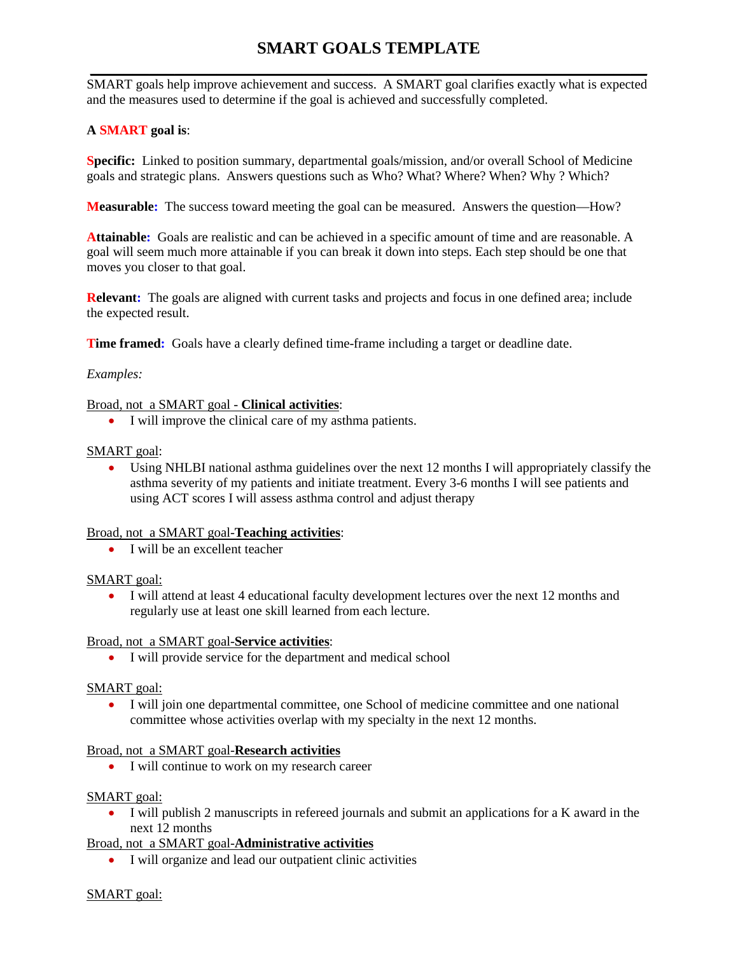# **SMART GOALS TEMPLATE**

 $\overline{a}$ SMART goals help improve achievement and success. A SMART goal clarifies exactly what is expected and the measures used to determine if the goal is achieved and successfully completed.

## **A SMART goal is**:

**Specific:** Linked to position summary, departmental goals/mission, and/or overall School of Medicine goals and strategic plans. Answers questions such as Who? What? Where? When? Why ? Which?

**Measurable:** The success toward meeting the goal can be measured. Answers the question—How?

**Attainable:** Goals are realistic and can be achieved in a specific amount of time and are reasonable. A goal will seem much more attainable if you can break it down into steps. Each step should be one that moves you closer to that goal.

**Relevant:** The goals are aligned with current tasks and projects and focus in one defined area; include the expected result.

**Time framed:** Goals have a clearly defined time-frame including a target or deadline date.

## *Examples:*

## Broad, not a SMART goal - **Clinical activities**:

• I will improve the clinical care of my asthma patients.

#### SMART goal:

• Using NHLBI national asthma guidelines over the next 12 months I will appropriately classify the asthma severity of my patients and initiate treatment. Every 3-6 months I will see patients and using ACT scores I will assess asthma control and adjust therapy

## Broad, not a SMART goal-**Teaching activities**:

• I will be an excellent teacher

## SMART goal:

• I will attend at least 4 educational faculty development lectures over the next 12 months and regularly use at least one skill learned from each lecture.

#### Broad, not a SMART goal-**Service activities**:

• I will provide service for the department and medical school

#### SMART goal:

• I will join one departmental committee, one School of medicine committee and one national committee whose activities overlap with my specialty in the next 12 months.

#### Broad, not a SMART goal-**Research activities**

• I will continue to work on my research career

#### SMART goal:

• I will publish 2 manuscripts in refereed journals and submit an applications for a K award in the next 12 months

## Broad, not a SMART goal-**Administrative activities**

• I will organize and lead our outpatient clinic activities